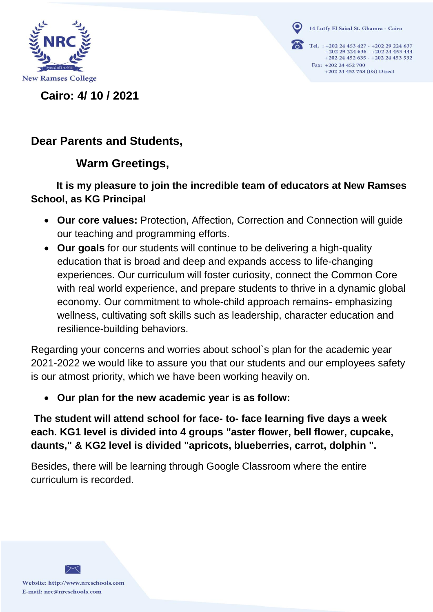

14 Lotfy El Saied St. Ghamra - Cairo

Tel. : +202 24 453 427 - +202 29 224 637<br>+202 29 224 636 - +202 24 453 444 +202 24 452 635 - +202 24 453 532 Fax: +202 24 452 700 +202 24 452 758 (IG) Direct

**Cairo: 4/ 10 / 2021** 

## **Dear Parents and Students,**

## **Warm Greetings,**

### **It is my pleasure to join the incredible team of educators at New Ramses School, as KG Principal**

- **Our core values:** Protection, Affection, Correction and Connection will guide our teaching and programming efforts.
- **Our goals** for our students will continue to be delivering a high-quality education that is broad and deep and expands access to life-changing experiences. Our curriculum will foster curiosity, connect the Common Core with real world experience, and prepare students to thrive in a dynamic global economy. Our commitment to whole-child approach remains- emphasizing wellness, cultivating soft skills such as leadership, character education and resilience-building behaviors.

Regarding your concerns and worries about school`s plan for the academic year 2021-2022 we would like to assure you that our students and our employees safety is our atmost priority, which we have been working heavily on.

**Our plan for the new academic year is as follow:**

**The student will attend school for face- to- face learning five days a week each. KG1 level is divided into 4 groups "aster flower, bell flower, cupcake, daunts," & KG2 level is divided "apricots, blueberries, carrot, dolphin ".**

Besides, there will be learning through Google Classroom where the entire curriculum is recorded.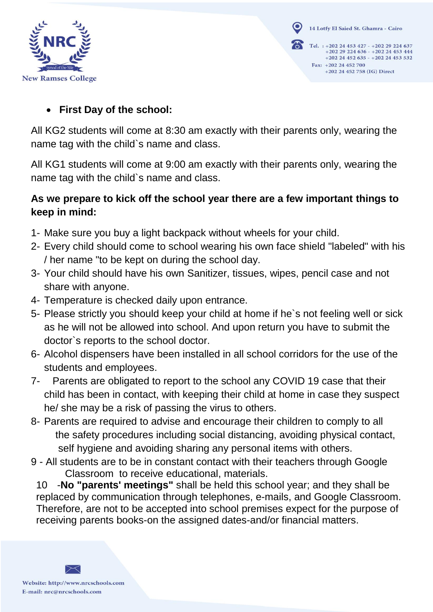

14 Lotfy El Saied St. Ghamra - Cairo Tel. : +202 24 453 427 - +202 29 224 637<br>+202 29 224 636 - +202 24 453 444 +202 24 452 635 - +202 24 453 532 Fax: +202 24 452 700 +202 24 452 758 (IG) Direct

#### **First Day of the school:**

All KG2 students will come at 8:30 am exactly with their parents only, wearing the name tag with the child`s name and class.

All KG1 students will come at 9:00 am exactly with their parents only, wearing the name tag with the child`s name and class.

### **As we prepare to kick off the school year there are a few important things to keep in mind:**

- 1- Make sure you buy a light backpack without wheels for your child.
- 2- Every child should come to school wearing his own face shield "labeled" with his / her name "to be kept on during the school day.
- 3- Your child should have his own Sanitizer, tissues, wipes, pencil case and not share with anyone.
- 4- Temperature is checked daily upon entrance.
- 5- Please strictly you should keep your child at home if he`s not feeling well or sick as he will not be allowed into school. And upon return you have to submit the doctor`s reports to the school doctor.
- 6- Alcohol dispensers have been installed in all school corridors for the use of the students and employees.
- 7- Parents are obligated to report to the school any COVID 19 case that their child has been in contact, with keeping their child at home in case they suspect he/ she may be a risk of passing the virus to others.
- 8- Parents are required to advise and encourage their children to comply to all the safety procedures including social distancing, avoiding physical contact, self hygiene and avoiding sharing any personal items with others.
- 9 All students are to be in constant contact with their teachers through Google Classroom to receive educational, materials.

10 -**No "parents' meetings"** shall be held this school year; and they shall be replaced by communication through telephones, e-mails, and Google Classroom. Therefore, are not to be accepted into school premises expect for the purpose of receiving parents books-on the assigned dates-and/or financial matters.

Website: http://www.nrcschools.com E-mail: nrc@nrcschools.com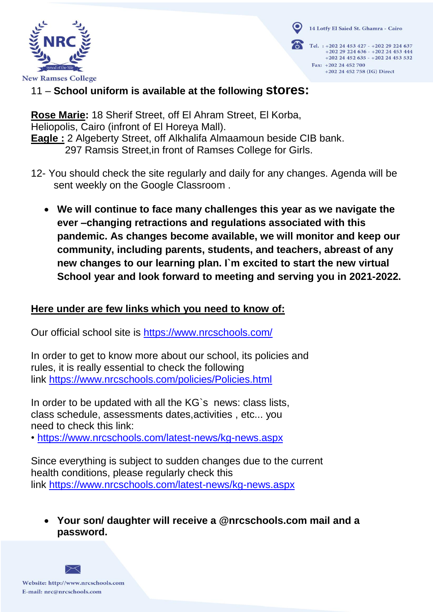14 Lotfy El Saied St. Ghamra - Cairo



Tel.: +202 24 453 427 - +202 29 224 637  $+20229224636 - +20224453444$ +202 24 452 635 - +202 24 453 532 Fax: +202 24 452 700 +202 24 452 758 (IG) Direct

### 11 – **School uniform is available at the following stores:**

**Rose Marie:** 18 Sherif Street, off El Ahram Street, El Korba, Heliopolis, Cairo (infront of El Horeya Mall). **Eagle :** 2 Algeberty Street, off Alkhalifa Almaamoun beside CIB bank. 297 Ramsis Street,in front of Ramses College for Girls.

- 12- You should check the site regularly and daily for any changes. Agenda will be sent weekly on the Google Classroom .
	- **We will continue to face many challenges this year as we navigate the ever –changing retractions and regulations associated with this pandemic. As changes become available, we will monitor and keep our community, including parents, students, and teachers, abreast of any new changes to our learning plan. I`m excited to start the new virtual School year and look forward to meeting and serving you in 2021-2022.**

#### **Here under are few links which you need to know of:**

Our official school site is<https://www.nrcschools.com/>

In order to get to know more about our school, its policies and rules, it is really essential to check the following link <https://www.nrcschools.com/policies/Policies.html>

In order to be updated with all the KG's news: class lists, class schedule, assessments dates,activities , etc... you need to check this link:

• <https://www.nrcschools.com/latest-news/kg-news.aspx>

Since everything is subject to sudden changes due to the current health conditions, please regularly check this link <https://www.nrcschools.com/latest-news/kg-news.aspx>

 **Your son/ daughter will receive a @nrcschools.com mail and a password.**

Website: http://www.nrcschools.com E-mail: nrc@nrcschools.com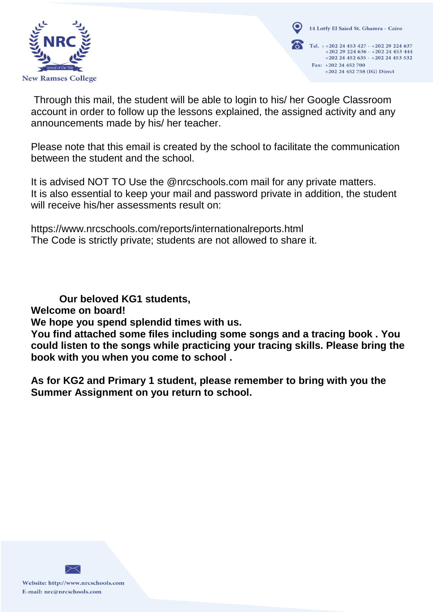

14 Lotfy El Saied St. Ghamra - Cairo Tel. : +202 24 453 427 - +202 29 224 637<br>+202 29 224 636 - +202 24 453 444 +202 24 452 635 - +202 24 453 532 Fax: +202 24 452 700 +202 24 452 758 (IG) Direct

Through this mail, the student will be able to login to his/ her Google Classroom account in order to follow up the lessons explained, the assigned activity and any announcements made by his/ her teacher.

Please note that this email is created by the school to facilitate the communication between the student and the school.

It is advised NOT TO Use the @nrcschools.com mail for any private matters. It is also essential to keep your mail and password private in addition, the student will receive his/her assessments result on:

https://www.nrcschools.com/reports/internationalreports.html The Code is strictly private; students are not allowed to share it.

**Our beloved KG1 students,** 

**Welcome on board!**

**We hope you spend splendid times with us.**

**You find attached some files including some songs and a tracing book . You could listen to the songs while practicing your tracing skills. Please bring the book with you when you come to school .**

**As for KG2 and Primary 1 student, please remember to bring with you the Summer Assignment on you return to school.** 

Website: http://www.nrcschools.com E-mail: nrc@nrcschools.com